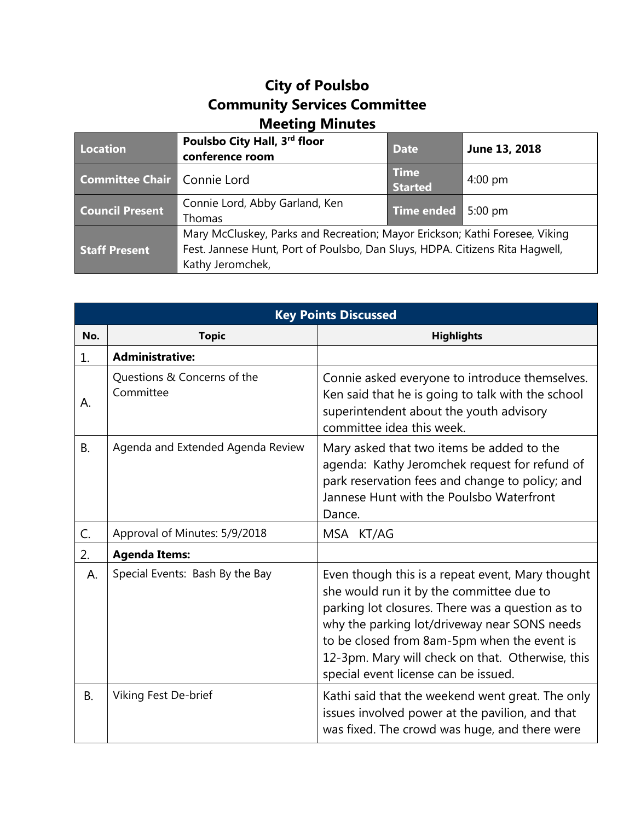## **City of Poulsbo Community Services Committee Meeting Minutes**

| Location                           | Poulsbo City Hall, 3rd floor<br>conference room                                                                                                                                 | <b>Date</b>                   | June 13, 2018     |
|------------------------------------|---------------------------------------------------------------------------------------------------------------------------------------------------------------------------------|-------------------------------|-------------------|
| <b>Committee Chair Connie Lord</b> |                                                                                                                                                                                 | <b>Time</b><br><b>Started</b> | $4:00 \text{ pm}$ |
| <b>Council Present</b>             | Connie Lord, Abby Garland, Ken<br>Thomas                                                                                                                                        | <b>Time ended</b>             | $5:00$ pm         |
| <b>Staff Present</b>               | Mary McCluskey, Parks and Recreation; Mayor Erickson; Kathi Foresee, Viking<br>Fest. Jannese Hunt, Port of Poulsbo, Dan Sluys, HDPA. Citizens Rita Hagwell,<br>Kathy Jeromchek, |                               |                   |

| <b>Key Points Discussed</b> |                                          |                                                                                                                                                                                                                                                                                                                                             |  |  |
|-----------------------------|------------------------------------------|---------------------------------------------------------------------------------------------------------------------------------------------------------------------------------------------------------------------------------------------------------------------------------------------------------------------------------------------|--|--|
| No.                         | <b>Topic</b>                             | <b>Highlights</b>                                                                                                                                                                                                                                                                                                                           |  |  |
| 1.                          | <b>Administrative:</b>                   |                                                                                                                                                                                                                                                                                                                                             |  |  |
| А.                          | Questions & Concerns of the<br>Committee | Connie asked everyone to introduce themselves.<br>Ken said that he is going to talk with the school<br>superintendent about the youth advisory<br>committee idea this week.                                                                                                                                                                 |  |  |
| <b>B.</b>                   | Agenda and Extended Agenda Review        | Mary asked that two items be added to the<br>agenda: Kathy Jeromchek request for refund of<br>park reservation fees and change to policy; and<br>Jannese Hunt with the Poulsbo Waterfront<br>Dance.                                                                                                                                         |  |  |
| C.                          | Approval of Minutes: 5/9/2018            | MSA KT/AG                                                                                                                                                                                                                                                                                                                                   |  |  |
| 2.                          | <b>Agenda Items:</b>                     |                                                                                                                                                                                                                                                                                                                                             |  |  |
| А.                          | Special Events: Bash By the Bay          | Even though this is a repeat event, Mary thought<br>she would run it by the committee due to<br>parking lot closures. There was a question as to<br>why the parking lot/driveway near SONS needs<br>to be closed from 8am-5pm when the event is<br>12-3pm. Mary will check on that. Otherwise, this<br>special event license can be issued. |  |  |
| <b>B.</b>                   | Viking Fest De-brief                     | Kathi said that the weekend went great. The only<br>issues involved power at the pavilion, and that<br>was fixed. The crowd was huge, and there were                                                                                                                                                                                        |  |  |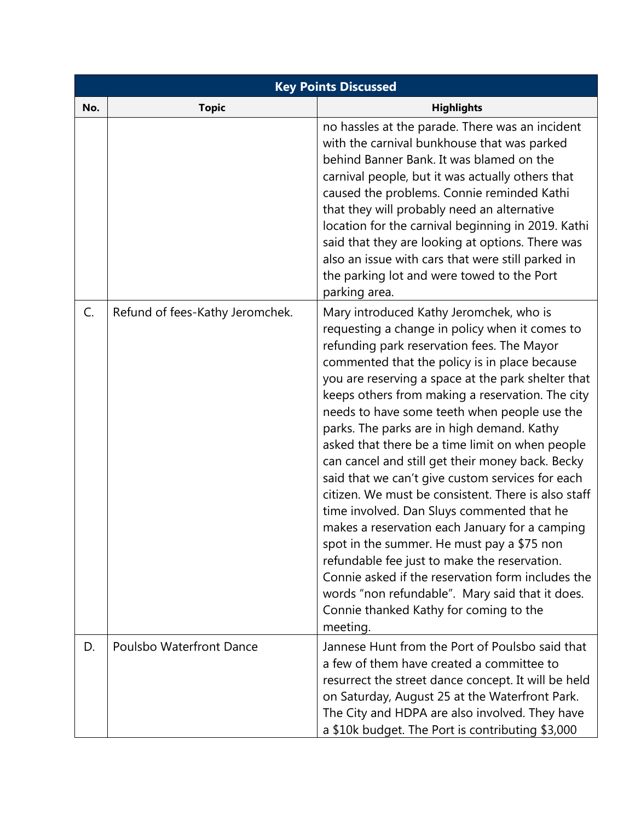| <b>Key Points Discussed</b> |                                 |                                                                                                                                                                                                                                                                                                                                                                                                                                                                                                                                                                                                                                                                                                                                                                                                                                                                                                                                                                                |  |  |
|-----------------------------|---------------------------------|--------------------------------------------------------------------------------------------------------------------------------------------------------------------------------------------------------------------------------------------------------------------------------------------------------------------------------------------------------------------------------------------------------------------------------------------------------------------------------------------------------------------------------------------------------------------------------------------------------------------------------------------------------------------------------------------------------------------------------------------------------------------------------------------------------------------------------------------------------------------------------------------------------------------------------------------------------------------------------|--|--|
| No.                         | <b>Topic</b>                    | <b>Highlights</b>                                                                                                                                                                                                                                                                                                                                                                                                                                                                                                                                                                                                                                                                                                                                                                                                                                                                                                                                                              |  |  |
|                             |                                 | no hassles at the parade. There was an incident<br>with the carnival bunkhouse that was parked<br>behind Banner Bank. It was blamed on the<br>carnival people, but it was actually others that<br>caused the problems. Connie reminded Kathi<br>that they will probably need an alternative<br>location for the carnival beginning in 2019. Kathi<br>said that they are looking at options. There was<br>also an issue with cars that were still parked in<br>the parking lot and were towed to the Port<br>parking area.                                                                                                                                                                                                                                                                                                                                                                                                                                                      |  |  |
| C.                          | Refund of fees-Kathy Jeromchek. | Mary introduced Kathy Jeromchek, who is<br>requesting a change in policy when it comes to<br>refunding park reservation fees. The Mayor<br>commented that the policy is in place because<br>you are reserving a space at the park shelter that<br>keeps others from making a reservation. The city<br>needs to have some teeth when people use the<br>parks. The parks are in high demand. Kathy<br>asked that there be a time limit on when people<br>can cancel and still get their money back. Becky<br>said that we can't give custom services for each<br>citizen. We must be consistent. There is also staff<br>time involved. Dan Sluys commented that he<br>makes a reservation each January for a camping<br>spot in the summer. He must pay a \$75 non<br>refundable fee just to make the reservation.<br>Connie asked if the reservation form includes the<br>words "non refundable". Mary said that it does.<br>Connie thanked Kathy for coming to the<br>meeting. |  |  |
| D.                          | <b>Poulsbo Waterfront Dance</b> | Jannese Hunt from the Port of Poulsbo said that<br>a few of them have created a committee to<br>resurrect the street dance concept. It will be held<br>on Saturday, August 25 at the Waterfront Park.<br>The City and HDPA are also involved. They have<br>a \$10k budget. The Port is contributing \$3,000                                                                                                                                                                                                                                                                                                                                                                                                                                                                                                                                                                                                                                                                    |  |  |